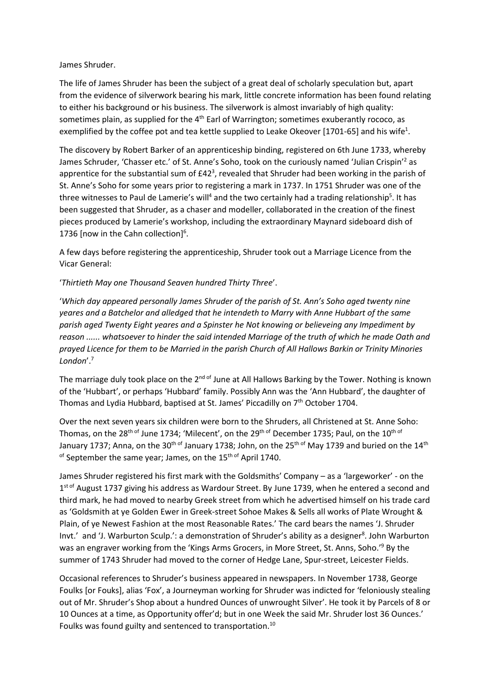## James Shruder.

The life of James Shruder has been the subject of a great deal of scholarly speculation but, apart from the evidence of silverwork bearing his mark, little concrete information has been found relating to either his background or his business. The silverwork is almost invariably of high quality: sometimes plain, as supplied for the  $4<sup>th</sup>$  Earl of Warrington; sometimes exuberantly rococo, as exemplified by the coffee pot and tea kettle supplied to Leake Okeover [1701-65] and his wife<sup>1</sup>.

The discovery by Robert Barker of an apprenticeship binding, registered on 6th June 1733, whereby James Schruder, 'Chasser etc.' of St. Anne's Soho, took on the curiously named 'Julian Crispin'<sup>2</sup> as apprentice for the substantial sum of  $E42<sup>3</sup>$ , revealed that Shruder had been working in the parish of St. Anne's Soho for some years prior to registering a mark in 1737. In 1751 Shruder was one of the three witnesses to Paul de Lamerie's will<sup>4</sup> and the two certainly had a trading relationship<sup>5</sup>. It has been suggested that Shruder, as a chaser and modeller, collaborated in the creation of the finest pieces produced by Lamerie's workshop, including the extraordinary Maynard sideboard dish of 1736 [now in the Cahn collection]<sup>6</sup>.

A few days before registering the apprenticeship, Shruder took out a Marriage Licence from the Vicar General:

'*Thirtieth May one Thousand Seaven hundred Thirty Three*'.

'*Which day appeared personally James Shruder of the parish of St. Ann's Soho aged twenty nine yeares and a Batchelor and alledged that he intendeth to Marry with Anne Hubbart of the same parish aged Twenty Eight yeares and a Spinster he Not knowing or believeing any Impediment by reason ...... whatsoever to hinder the said intended Marriage of the truth of which he made Oath and prayed Licence for them to be Married in the parish Church of All Hallows Barkin or Trinity Minories London*'.<sup>7</sup>

The marriage duly took place on the 2<sup>nd of</sup> June at All Hallows Barking by the Tower. Nothing is known of the 'Hubbart', or perhaps 'Hubbard' family. Possibly Ann was the 'Ann Hubbard', the daughter of Thomas and Lydia Hubbard, baptised at St. James' Piccadilly on  $7<sup>th</sup>$  October 1704.

Over the next seven years six children were born to the Shruders, all Christened at St. Anne Soho: Thomas, on the 28<sup>th of</sup> June 1734; 'Milecent', on the 29<sup>th of</sup> December 1735; Paul, on the 10<sup>th of</sup> January 1737; Anna, on the 30<sup>th of</sup> January 1738; John, on the 25<sup>th of</sup> May 1739 and buried on the 14<sup>th</sup> of September the same year; James, on the 15<sup>th of</sup> April 1740.

James Shruder registered his first mark with the Goldsmiths' Company – as a 'largeworker' - on the 1<sup>st of</sup> August 1737 giving his address as Wardour Street. By June 1739, when he entered a second and third mark, he had moved to nearby Greek street from which he advertised himself on his trade card as 'Goldsmith at ye Golden Ewer in Greek-street Sohoe Makes & Sells all works of Plate Wrought & Plain, of ye Newest Fashion at the most Reasonable Rates.' The card bears the names 'J. Shruder Invt.' and 'J. Warburton Sculp.': a demonstration of Shruder's ability as a designer<sup>8</sup>. John Warburton was an engraver working from the 'Kings Arms Grocers, in More Street, St. Anns, Soho.'<sup>9</sup> By the summer of 1743 Shruder had moved to the corner of Hedge Lane, Spur-street, Leicester Fields.

Occasional references to Shruder's business appeared in newspapers. In November 1738, George Foulks [or Fouks], alias 'Fox', a Journeyman working for Shruder was indicted for 'feloniously stealing out of Mr. Shruder's Shop about a hundred Ounces of unwrought Silver'. He took it by Parcels of 8 or 10 Ounces at a time, as Opportunity offer'd; but in one Week the said Mr. Shruder lost 36 Ounces.' Foulks was found guilty and sentenced to transportation.<sup>10</sup>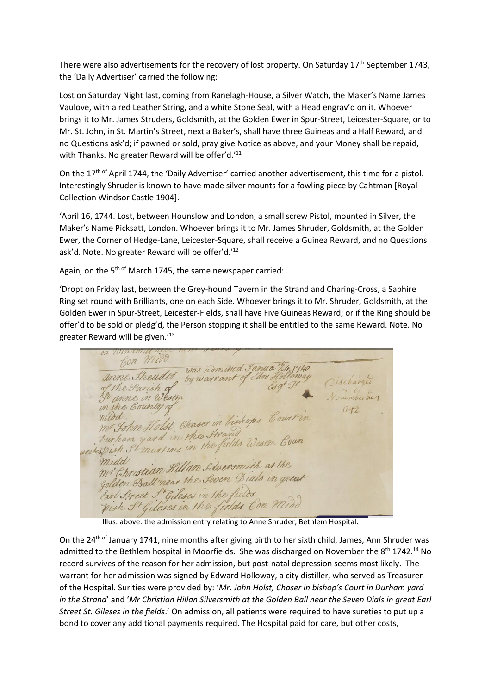There were also advertisements for the recovery of lost property. On Saturday  $17<sup>th</sup>$  September 1743, the 'Daily Advertiser' carried the following:

Lost on Saturday Night last, coming from Ranelagh-House, a Silver Watch, the Maker's Name James Vaulove, with a red Leather String, and a white Stone Seal, with a Head engrav'd on it. Whoever brings it to Mr. James Struders, Goldsmith, at the Golden Ewer in Spur-Street, Leicester-Square, or to Mr. St. John, in St. Martin's Street, next a Baker's, shall have three Guineas and a Half Reward, and no Questions ask'd; if pawned or sold, pray give Notice as above, and your Money shall be repaid, with Thanks. No greater Reward will be offer'd.<sup>'11</sup>

On the 17<sup>th of</sup> April 1744, the 'Daily Advertiser' carried another advertisement, this time for a pistol. Interestingly Shruder is known to have made silver mounts for a fowling piece by Cahtman [Royal Collection Windsor Castle 1904].

'April 16, 1744. Lost, between Hounslow and London, a small screw Pistol, mounted in Silver, the Maker's Name Picksatt, London. Whoever brings it to Mr. James Shruder, Goldsmith, at the Golden Ewer, the Corner of Hedge-Lane, Leicester-Square, shall receive a Guinea Reward, and no Questions ask'd. Note. No greater Reward will be offer'd.'<sup>12</sup>

Again, on the 5<sup>th of</sup> March 1745, the same newspaper carried:

'Dropt on Friday last, between the Grey-hound Tavern in the Strand and Charing-Cross, a Saphire Ring set round with Brilliants, one on each Side. Whoever brings it to Mr. Shruder, Goldsmith, at the Golden Ewer in Spur-Street, Leicester-Fields, shall have Five Guineas Reward; or if the Ring should be offer'd to be sold or pledg'd, the Person stopping it shall be entitled to the same Reward. Note. No greater Reward will be given.'<sup>13</sup>

Bon Mix bon Milos was admitted Janua Ett. 1740 Cischarge the Parish of anne in West in the Country of  $17 + 2$ midd.<br>midd. Iohn Holst Chaser in bishops Court in Aurham yard in the firand Aurham yard in the Itrand<br>weitespish St martins in the fields Wester Coun midd mistian Hillan Librensmith at the mi Christian Humm Simer Sinne in great fourn ssaw haves in the fields<br>pish St Gileses in the fields Con Midd

Illus. above: the admission entry relating to Anne Shruder, Bethlem Hospital.

On the 24<sup>th of</sup> January 1741, nine months after giving birth to her sixth child, James, Ann Shruder was admitted to the Bethlem hospital in Moorfields. She was discharged on November the 8<sup>th</sup> 1742.<sup>14</sup> No record survives of the reason for her admission, but post-natal depression seems most likely. The warrant for her admission was signed by Edward Holloway, a city distiller, who served as Treasurer of the Hospital. Surities were provided by: '*Mr. John Holst, Chaser in bishop's Court in Durham yard in the Strand*' and '*Mr Christian Hillan Silversmith at the Golden Ball near the Seven Dials in great Earl Street St. Gileses in the fields*.' On admission, all patients were required to have sureties to put up a bond to cover any additional payments required. The Hospital paid for care, but other costs,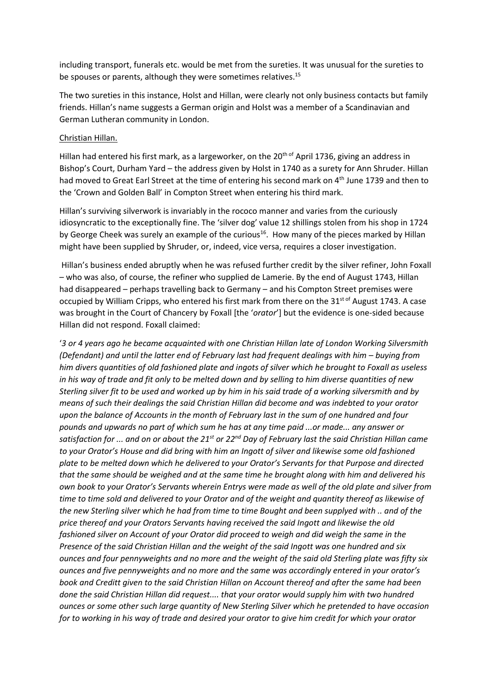including transport, funerals etc. would be met from the sureties. It was unusual for the sureties to be spouses or parents, although they were sometimes relatives.<sup>15</sup>

The two sureties in this instance, Holst and Hillan, were clearly not only business contacts but family friends. Hillan's name suggests a German origin and Holst was a member of a Scandinavian and German Lutheran community in London.

## Christian Hillan.

Hillan had entered his first mark, as a largeworker, on the 20<sup>th of</sup> April 1736, giving an address in Bishop's Court, Durham Yard – the address given by Holst in 1740 as a surety for Ann Shruder. Hillan had moved to Great Earl Street at the time of entering his second mark on 4<sup>th</sup> June 1739 and then to the 'Crown and Golden Ball' in Compton Street when entering his third mark.

Hillan's surviving silverwork is invariably in the rococo manner and varies from the curiously idiosyncratic to the exceptionally fine. The 'silver dog' value 12 shillings stolen from his shop in 1724 by George Cheek was surely an example of the curious<sup>16</sup>. How many of the pieces marked by Hillan might have been supplied by Shruder, or, indeed, vice versa, requires a closer investigation.

Hillan's business ended abruptly when he was refused further credit by the silver refiner, John Foxall – who was also, of course, the refiner who supplied de Lamerie. By the end of August 1743, Hillan had disappeared – perhaps travelling back to Germany – and his Compton Street premises were occupied by William Cripps, who entered his first mark from there on the  $31<sup>st of</sup>$  August 1743. A case was brought in the Court of Chancery by Foxall [the '*orator*'] but the evidence is one-sided because Hillan did not respond. Foxall claimed:

'*3 or 4 years ago he became acquainted with one Christian Hillan late of London Working Silversmith (Defendant) and until the latter end of February last had frequent dealings with him – buying from him divers quantities of old fashioned plate and ingots of silver which he brought to Foxall as useless in his way of trade and fit only to be melted down and by selling to him diverse quantities of new Sterling silver fit to be used and worked up by him in his said trade of a working silversmith and by means of such their dealings the said Christian Hillan did become and was indebted to your orator upon the balance of Accounts in the month of February last in the sum of one hundred and four pounds and upwards no part of which sum he has at any time paid ...or made... any answer or satisfaction for ... and on or about the 21st or 22nd Day of February last the said Christian Hillan came to your Orator's House and did bring with him an Ingott of silver and likewise some old fashioned plate to be melted down which he delivered to your Orator's Servants for that Purpose and directed that the same should be weighed and at the same time he brought along with him and delivered his own book to your Orator's Servants wherein Entrys were made as well of the old plate and silver from time to time sold and delivered to your Orator and of the weight and quantity thereof as likewise of the new Sterling silver which he had from time to time Bought and been supplyed with .. and of the price thereof and your Orators Servants having received the said Ingott and likewise the old fashioned silver on Account of your Orator did proceed to weigh and did weigh the same in the Presence of the said Christian Hillan and the weight of the said Ingott was one hundred and six ounces and four pennyweights and no more and the weight of the said old Sterling plate was fifty six ounces and five pennyweights and no more and the same was accordingly entered in your orator's book and Creditt given to the said Christian Hillan on Account thereof and after the same had been done the said Christian Hillan did request.... that your orator would supply him with two hundred ounces or some other such large quantity of New Sterling Silver which he pretended to have occasion for to working in his way of trade and desired your orator to give him credit for which your orator*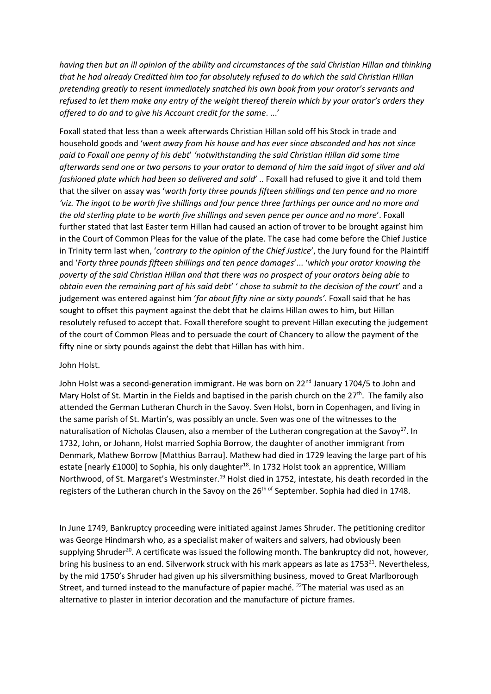*having then but an ill opinion of the ability and circumstances of the said Christian Hillan and thinking that he had already Creditted him too far absolutely refused to do which the said Christian Hillan pretending greatly to resent immediately snatched his own book from your orator's servants and refused to let them make any entry of the weight thereof therein which by your orator's orders they offered to do and to give his Account credit for the same*. ...'

Foxall stated that less than a week afterwards Christian Hillan sold off his Stock in trade and household goods and '*went away from his house and has ever since absconded and has not since paid to Foxall one penny of his debt*' *'notwithstanding the said Christian Hillan did some time afterwards send one or two persons to your orator to demand of him the said ingot of silver and old fashioned plate which had been so delivered and sold*' .. Foxall had refused to give it and told them that the silver on assay was '*worth forty three pounds fifteen shillings and ten pence and no more*  'viz. The ingot to be worth five shillings and four pence three farthings per ounce and no more and *the old sterling plate to be worth five shillings and seven pence per ounce and no more*'. Foxall further stated that last Easter term Hillan had caused an action of trover to be brought against him in the Court of Common Pleas for the value of the plate. The case had come before the Chief Justice in Trinity term last when, '*contrary to the opinion of the Chief Justice*', the Jury found for the Plaintiff and '*Forty three pounds fifteen shillings and ten pence damages*'... '*which your orator knowing the poverty of the said Christian Hillan and that there was no prospect of your orators being able to obtain even the remaining part of his said debt*' ' *chose to submit to the decision of the court*' and a judgement was entered against him '*for about fifty nine or sixty pounds'*. Foxall said that he has sought to offset this payment against the debt that he claims Hillan owes to him, but Hillan resolutely refused to accept that. Foxall therefore sought to prevent Hillan executing the judgement of the court of Common Pleas and to persuade the court of Chancery to allow the payment of the fifty nine or sixty pounds against the debt that Hillan has with him.

## John Holst.

John Holst was a second-generation immigrant. He was born on 22<sup>nd</sup> January 1704/5 to John and Mary Holst of St. Martin in the Fields and baptised in the parish church on the 27<sup>th</sup>. The family also attended the German Lutheran Church in the Savoy. Sven Holst, born in Copenhagen, and living in the same parish of St. Martin's, was possibly an uncle. Sven was one of the witnesses to the naturalisation of Nicholas Clausen, also a member of the Lutheran congregation at the Savoy<sup>17</sup>. In 1732, John, or Johann, Holst married Sophia Borrow, the daughter of another immigrant from Denmark, Mathew Borrow [Matthius Barrau]. Mathew had died in 1729 leaving the large part of his estate [nearly £1000] to Sophia, his only daughter<sup>18</sup>. In 1732 Holst took an apprentice, William Northwood, of St. Margaret's Westminster.<sup>19</sup> Holst died in 1752, intestate, his death recorded in the registers of the Lutheran church in the Savoy on the 26<sup>th of</sup> September. Sophia had died in 1748.

In June 1749, Bankruptcy proceeding were initiated against James Shruder. The petitioning creditor was George Hindmarsh who, as a specialist maker of waiters and salvers, had obviously been supplying Shruder<sup>20</sup>. A certificate was issued the following month. The bankruptcy did not, however, bring his business to an end. Silverwork struck with his mark appears as late as 1753<sup>21</sup>. Nevertheless, by the mid 1750's Shruder had given up his silversmithing business, moved to Great Marlborough Street, and turned instead to the manufacture of papier maché. <sup>22</sup>The material was used as an alternative to plaster in interior decoration and the manufacture of picture frames.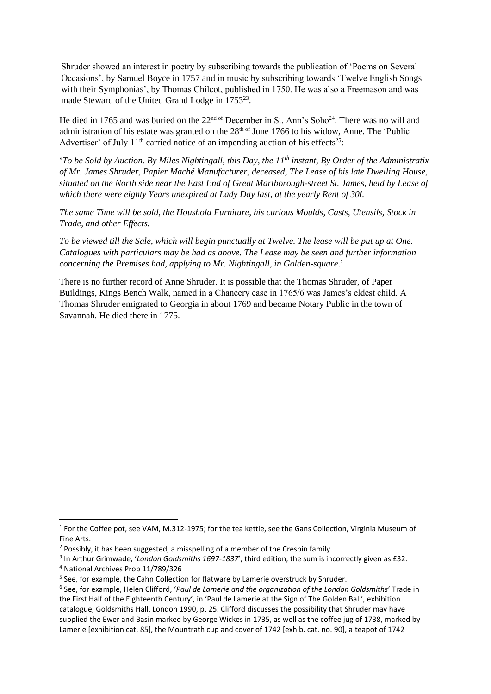Shruder showed an interest in poetry by subscribing towards the publication of 'Poems on Several Occasions', by Samuel Boyce in 1757 and in music by subscribing towards 'Twelve English Songs with their Symphonias', by Thomas Chilcot, published in 1750. He was also a Freemason and was made Steward of the United Grand Lodge in 1753<sup>23</sup>.

He died in 1765 and was buried on the  $22<sup>nd of</sup>$  December in St. Ann's Soho<sup>24</sup>. There was no will and administration of his estate was granted on the 28<sup>th of</sup> June 1766 to his widow, Anne. The 'Public Advertiser' of July  $11<sup>th</sup>$  carried notice of an impending auction of his effects<sup>25</sup>:

'*To be Sold by Auction. By Miles Nightingall, this Day, the 11th instant, By Order of the Administratix of Mr. James Shruder, Papier Maché Manufacturer, deceased, The Lease of his late Dwelling House, situated on the North side near the East End of Great Marlborough-street St. James, held by Lease of which there were eighty Years unexpired at Lady Day last, at the yearly Rent of 30l.* 

*The same Time will be sold, the Houshold Furniture, his curious Moulds, Casts, Utensils, Stock in Trade, and other Effects.* 

*To be viewed till the Sale, which will begin punctually at Twelve. The lease will be put up at One. Catalogues with particulars may be had as above. The Lease may be seen and further information concerning the Premises had, applying to Mr. Nightingall, in Golden-square*.'

There is no further record of Anne Shruder. It is possible that the Thomas Shruder, of Paper Buildings, Kings Bench Walk, named in a Chancery case in 1765/6 was James's eldest child. A Thomas Shruder emigrated to Georgia in about 1769 and became Notary Public in the town of Savannah. He died there in 1775.

<sup>&</sup>lt;sup>1</sup> For the Coffee pot, see VAM, M.312-1975; for the tea kettle, see the Gans Collection, Virginia Museum of Fine Arts.

<sup>&</sup>lt;sup>2</sup> Possibly, it has been suggested, a misspelling of a member of the Crespin family.

<sup>3</sup> In Arthur Grimwade, '*London Goldsmiths 1697-1837*', third edition, the sum is incorrectly given as £32.

<sup>4</sup> National Archives Prob 11/789/326

<sup>&</sup>lt;sup>5</sup> See, for example, the Cahn Collection for flatware by Lamerie overstruck by Shruder.

<sup>6</sup> See, for example, Helen Clifford, '*Paul de Lamerie and the organization of the London Goldsmiths*' Trade in the First Half of the Eighteenth Century', in 'Paul de Lamerie at the Sign of The Golden Ball', exhibition catalogue, Goldsmiths Hall, London 1990, p. 25. Clifford discusses the possibility that Shruder may have supplied the Ewer and Basin marked by George Wickes in 1735, as well as the coffee jug of 1738, marked by Lamerie [exhibition cat. 85], the Mountrath cup and cover of 1742 [exhib. cat. no. 90], a teapot of 1742